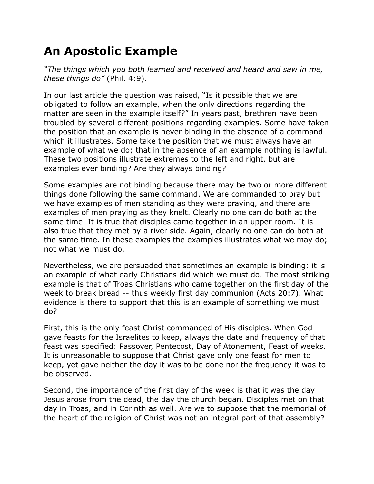## **An Apostolic Example**

*"The things which you both learned and received and heard and saw in me, these things do"* (Phil. 4:9).

In our last article the question was raised, "Is it possible that we are obligated to follow an example, when the only directions regarding the matter are seen in the example itself?" In years past, brethren have been troubled by several different positions regarding examples. Some have taken the position that an example is never binding in the absence of a command which it illustrates. Some take the position that we must always have an example of what we do; that in the absence of an example nothing is lawful. These two positions illustrate extremes to the left and right, but are examples ever binding? Are they always binding?

Some examples are not binding because there may be two or more different things done following the same command. We are commanded to pray but we have examples of men standing as they were praying, and there are examples of men praying as they knelt. Clearly no one can do both at the same time. It is true that disciples came together in an upper room. It is also true that they met by a river side. Again, clearly no one can do both at the same time. In these examples the examples illustrates what we may do; not what we must do.

Nevertheless, we are persuaded that sometimes an example is binding: it is an example of what early Christians did which we must do. The most striking example is that of Troas Christians who came together on the first day of the week to break bread -- thus weekly first day communion (Acts 20:7). What evidence is there to support that this is an example of something we must do?

First, this is the only feast Christ commanded of His disciples. When God gave feasts for the Israelites to keep, always the date and frequency of that feast was specified: Passover, Pentecost, Day of Atonement, Feast of weeks. It is unreasonable to suppose that Christ gave only one feast for men to keep, yet gave neither the day it was to be done nor the frequency it was to be observed.

Second, the importance of the first day of the week is that it was the day Jesus arose from the dead, the day the church began. Disciples met on that day in Troas, and in Corinth as well. Are we to suppose that the memorial of the heart of the religion of Christ was not an integral part of that assembly?